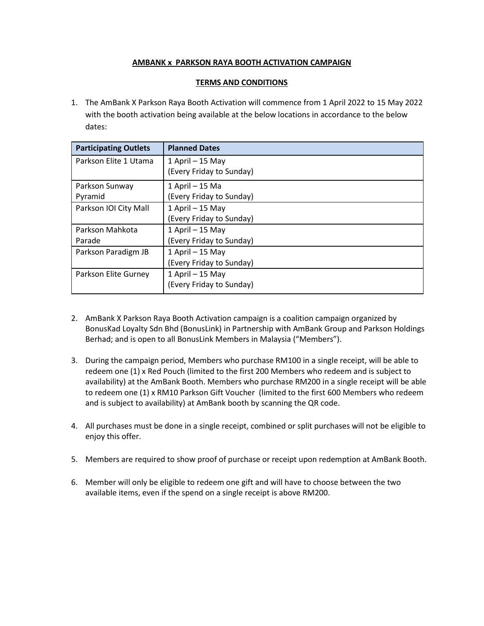## **AMBANK x PARKSON RAYA BOOTH ACTIVATION CAMPAIGN**

## **TERMS AND CONDITIONS**

1. The AmBank X Parkson Raya Booth Activation will commence from 1 April 2022 to 15 May 2022 with the booth activation being available at the below locations in accordance to the below dates:

| <b>Participating Outlets</b> | <b>Planned Dates</b>     |
|------------------------------|--------------------------|
| Parkson Elite 1 Utama        | 1 April - 15 May         |
|                              | (Every Friday to Sunday) |
| Parkson Sunway               | 1 April - 15 Ma          |
| Pyramid                      | (Every Friday to Sunday) |
| Parkson IOI City Mall        | 1 April - 15 May         |
|                              | (Every Friday to Sunday) |
| Parkson Mahkota              | 1 April - 15 May         |
| Parade                       | (Every Friday to Sunday) |
| Parkson Paradigm JB          | 1 April - 15 May         |
|                              | (Every Friday to Sunday) |
| Parkson Elite Gurney         | $1$ April $-15$ May      |
|                              | (Every Friday to Sunday) |

- 2. AmBank X Parkson Raya Booth Activation campaign is a coalition campaign organized by BonusKad Loyalty Sdn Bhd (BonusLink) in Partnership with AmBank Group and Parkson Holdings Berhad; and is open to all BonusLink Members in Malaysia ("Members").
- 3. During the campaign period, Members who purchase RM100 in a single receipt, will be able to redeem one (1) x Red Pouch (limited to the first 200 Members who redeem and is subject to availability) at the AmBank Booth. Members who purchase RM200 in a single receipt will be able to redeem one (1) x RM10 Parkson Gift Voucher (limited to the first 600 Members who redeem and is subject to availability) at AmBank booth by scanning the QR code.
- 4. All purchases must be done in a single receipt, combined or split purchases will not be eligible to enjoy this offer.
- 5. Members are required to show proof of purchase or receipt upon redemption at AmBank Booth.
- 6. Member will only be eligible to redeem one gift and will have to choose between the two available items, even if the spend on a single receipt is above RM200.